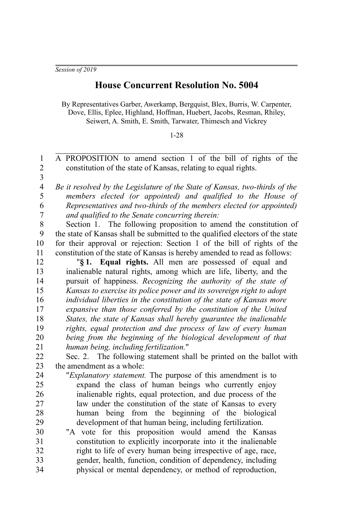*Session of 2019*

## **House Concurrent Resolution No. 5004**

By Representatives Garber, Awerkamp, Bergquist, Blex, Burris, W. Carpenter, Dove, Ellis, Eplee, Highland, Hoffman, Huebert, Jacobs, Resman, Rhiley, Seiwert, A. Smith, E. Smith, Tarwater, Thimesch and Vickrey

## 1-28

A PROPOSITION to amend section 1 of the bill of rights of the constitution of the state of Kansas, relating to equal rights. *Be it resolved by the Legislature of the State of Kansas, two-thirds of the members elected (or appointed) and qualified to the House of Representatives and two-thirds of the members elected (or appointed) and qualified to the Senate concurring therein:* Section 1. The following proposition to amend the constitution of the state of Kansas shall be submitted to the qualified electors of the state for their approval or rejection: Section 1 of the bill of rights of the constitution of the state of Kansas is hereby amended to read as follows: "**§ 1. Equal rights.** All men are possessed of equal and inalienable natural rights, among which are life, liberty, and the pursuit of happiness. *Recognizing the authority of the state of Kansas to exercise its police power and its sovereign right to adopt individual liberties in the constitution of the state of Kansas more expansive than those conferred by the constitution of the United States, the state of Kansas shall hereby guarantee the inalienable rights, equal protection and due process of law of every human being from the beginning of the biological development of that human being, including fertilization.*" Sec. 2. The following statement shall be printed on the ballot with the amendment as a whole: "*Explanatory statement.* The purpose of this amendment is to expand the class of human beings who currently enjoy inalienable rights, equal protection, and due process of the law under the constitution of the state of Kansas to every human being from the beginning of the biological development of that human being, including fertilization. "A vote for this proposition would amend the Kansas constitution to explicitly incorporate into it the inalienable right to life of every human being irrespective of age, race, gender, health, function, condition of dependency, including physical or mental dependency, or method of reproduction, 1 2 3 4 5 6 7 8 9 10 11 12 13 14 15 16 17 18 19 20 21 22 23 24 25 26 27 28 29 30 31 32 33 34